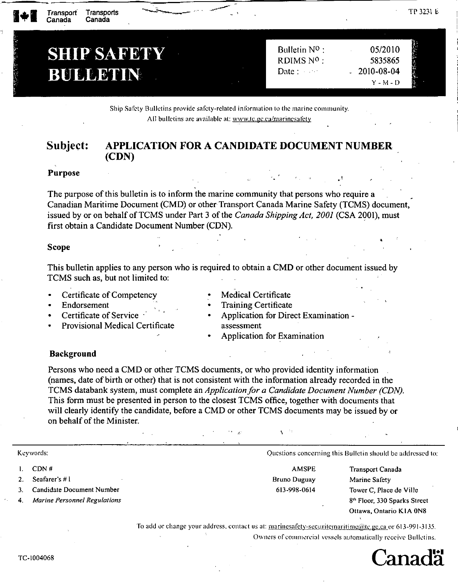| 1+1 | Transports<br>Transport<br>Canada<br>Canada | ÷.                | TІ               |
|-----|---------------------------------------------|-------------------|------------------|
|     |                                             |                   |                  |
|     | <b>SHIP SAFETY</b>                          | Bulletin $N^0$ :  | 05/2010          |
|     |                                             | RDIMS Nº :        | 5835865          |
|     | BUSCENN                                     | Date $:$ $\cdots$ | 2010-08-04<br>ч. |
|     |                                             |                   | $Y - M - D$      |

Ship Safety Bulletins provide safety-related information to the marine community. All bulletins arc available at: www.tc.gc.ca/marinesafety

#### Subject: APPLICATION FOR A CANDIDATE DOCUMENT NUMBER (CDN)

### Purpose

The purpose of this bulletin is to inform the marine community that persons who require a Canadian Maritime Document (CMD) or other Transport Canada Marine Safety (TCMS) document, issued by or on behalf of TCMS under Part 3 of the *Canada Shipping Act, 2001* (CSA 2001), must first obtain a Candidate Document Number (CDN).

#### Scope

This bulletin applies to any person who is required to obtain a CMD or other document issued by TCMS such as, but not limited to:

•

• Certificate of Competency

• Provisional Medical Certificate

• Endorsement

• Medical Certificate

Certificate of Service

- Training Certificate
	- Application for Direct Examination assessment
- Application for Examination

## Background

Persons who need a CMD or other TCMS documents, or who provided identity information (names, date of birth or other) that is not consistent with the information already recorded in the TCMS databank system, must complete an *Application for a Candidate Document Number (CDN).* This form must be presented in person to the closest TCMS office, together with documents that will clearly identify the candidate, before a CMD or other TCMS documents may be issued by or on behalf of the Minister.

- I. CDN #
- 2. Seafarer's # I
- 3. Candidate Document Number
- *4. MarinePersonnel Regulations*

Keywords: Cuestions concerning this Bulletin should be addressed to:

AMSPE Bruno Duguay 613-998-0614

Transport Canada Marine Safety Tower C, Place de Ville 8'h Floor, 330 Sparks Street Ottawa, Ontario KIA ON8

•

To add or change your address, contact us at: marinesafety-securitemaritime(@tc.gc,ca or 613-991-3135. Owners of commercial vessels automatically receive Bulletins.



TP 323\ £